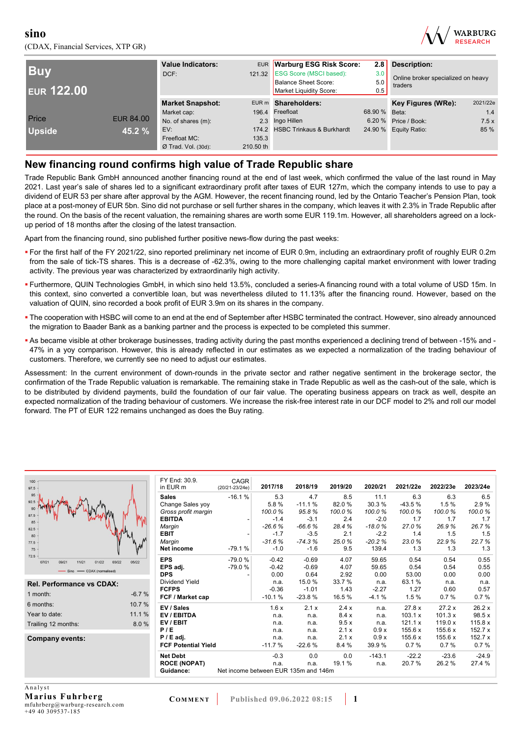(CDAX, Financial Services, XTP GR)



| <b>Buv</b><br><b>EUR 122.00</b> |                  | <b>Value Indicators:</b><br>DCF: | <b>EUR</b><br>121.32 | <b>Warburg ESG Risk Score:</b><br><b>ESG Score (MSCI based):</b><br><b>Balance Sheet Score:</b><br>Market Liquidity Score: | 2.8<br>3.0<br>5.0<br>0.5 | Description:<br>Online broker specialized on heavy<br>traders |          |
|---------------------------------|------------------|----------------------------------|----------------------|----------------------------------------------------------------------------------------------------------------------------|--------------------------|---------------------------------------------------------------|----------|
|                                 |                  | <b>Market Snapshot:</b>          |                      | EUR m Shareholders:                                                                                                        |                          | Key Figures (WRe):                                            | 2021/22e |
|                                 |                  | Market cap:                      |                      | 196.4 Freefloat                                                                                                            | 68.90 %                  | Beta:                                                         | 1.4      |
| Price                           | <b>EUR 84.00</b> | No. of shares (m):               |                      | 2.3 Ingo Hillen                                                                                                            | 6.20%                    | Price / Book:                                                 | 7.5x     |
| <b>Upside</b>                   | 45.2 %           | EV:                              |                      | 174.2 HSBC Trinkaus & Burkhardt                                                                                            |                          | 24.90 % Equity Ratio:                                         | 85 %     |
|                                 |                  | Freefloat MC:                    | 135.3                |                                                                                                                            |                          |                                                               |          |
|                                 |                  | $Ø$ Trad. Vol. (30d):            | 210.50 th            |                                                                                                                            |                          |                                                               |          |

## **New financing round confirms high value of Trade Republic share**

Trade Republic Bank GmbH announced another financing round at the end of last week, which confirmed the value of the last round in May 2021. Last year's sale of shares led to a significant extraordinary profit after taxes of EUR 127m, which the company intends to use to pay a dividend of EUR 53 per share after approval by the AGM. However, the recent financing round, led by the Ontario Teacher's Pension Plan, took place at a post-money of EUR 5bn. Sino did not purchase or sell further shares in the company, which leaves it with 2.3% in Trade Republic after the round. On the basis of the recent valuation, the remaining shares are worth some EUR 119.1m. However, all shareholders agreed on a lockup period of 18 months after the closing of the latest transaction.

Apart from the financing round, sino published further positive news-flow during the past weeks:

- For the first half of the FY 2021/22, sino reported preliminary net income of EUR 0.9m, including an extraordinary profit of roughly EUR 0.2m from the sale of tick-TS shares. This is a decrease of -62.3%, owing to the more challenging capital market environment with lower trading activity. The previous year was characterized by extraordinarily high activity.
- Furthermore, QUIN Technologies GmbH, in which sino held 13.5%, concluded a series-A financing round with a total volume of USD 15m. In this context, sino converted a convertible loan, but was nevertheless diluted to 11.13% after the financing round. However, based on the valuation of QUIN, sino recorded a book profit of EUR 3.9m on its shares in the company.
- The cooperation with HSBC will come to an end at the end of September after HSBC terminated the contract. However, sino already announced the migration to Baader Bank as a banking partner and the process is expected to be completed this summer.
- As became visible at other brokerage businesses, trading activity during the past months experienced a declining trend of between -15% and 47% in a yoy comparison. However, this is already reflected in our estimates as we expected a normalization of the trading behaviour of customers. Therefore, we currently see no need to adjust our estimates.

Assessment: In the current environment of down-rounds in the private sector and rather negative sentiment in the brokerage sector, the confirmation of the Trade Republic valuation is remarkable. The remaining stake in Trade Republic as well as the cash-out of the sale, which is to be distributed by dividend payments, build the foundation of our fair value. The operating business appears on track as well, despite an expected normalization of the trading behaviour of customers. We increase the risk-free interest rate in our DCF model to 2% and roll our model forward. The PT of EUR 122 remains unchanged as does the Buy rating.

| 100<br>97.5                                           |         | FY End: 30.9.<br>in EUR m  | CAGR<br>$(20/21 - 23/24e)$           | 2017/18  | 2018/19  | 2019/20 | 2020/21  | 2021/22e | 2022/23e | 2023/24e |
|-------------------------------------------------------|---------|----------------------------|--------------------------------------|----------|----------|---------|----------|----------|----------|----------|
| 95                                                    |         | <b>Sales</b>               | $-16.1%$                             | 5.3      | 4.7      | 8.5     | 11.1     | 6.3      | 6.3      | 6.5      |
| 92.5                                                  |         | Change Sales yoy           |                                      | 5.8%     | $-11.1%$ | 82.0%   | 30.3%    | $-43.5%$ | 1.5%     | 2.9%     |
| $90 -$                                                |         | Gross profit margin        |                                      | 100.0%   | 95.8%    | 100.0%  | 100.0%   | 100.0%   | 100.0%   | 100.0%   |
| 87.5<br>85                                            |         | <b>EBITDA</b>              |                                      | $-1.4$   | $-3.1$   | 2.4     | $-2.0$   | 1.7      | 1.7      | 1.7      |
| 82.5                                                  |         | Margin                     |                                      | $-26.6%$ | $-66.6%$ | 28.4%   | $-18.0%$ | 27.0%    | 26.9%    | 26.7%    |
| 80                                                    |         | <b>EBIT</b>                |                                      | $-1.7$   | $-3.5$   | 2.1     | $-2.2$   | 1.4      | 1.5      | 1.5      |
| 77.5                                                  |         | Margin                     |                                      | $-31.6%$ | $-74.3%$ | 25.0%   | $-20.2%$ | 23.0%    | 22.9%    | 22.7%    |
| $75 -$                                                |         | Net income                 | $-79.1%$                             | $-1.0$   | $-1.6$   | 9.5     | 139.4    | 1.3      | 1.3      | 1.3      |
| $72.5 -$<br>03/22<br>07/21<br>09/21<br>11/21<br>01/22 | 05/22   | <b>EPS</b>                 | $-79.0%$                             | $-0.42$  | $-0.69$  | 4.07    | 59.65    | 0.54     | 0.54     | 0.55     |
| - CDAX (normalised)                                   |         | EPS adj.                   | $-79.0%$                             | $-0.42$  | $-0.69$  | 4.07    | 59.65    | 0.54     | 0.54     | 0.55     |
| Sino                                                  |         | <b>DPS</b>                 |                                      | 0.00     | 0.64     | 2.92    | 0.00     | 53.00    | 0.00     | 0.00     |
| <b>Rel. Performance vs CDAX:</b>                      |         | Dividend Yield             |                                      | n.a.     | 15.0%    | 33.7 %  | n.a.     | 63.1%    | n.a.     | n.a.     |
|                                                       |         | <b>FCFPS</b>               |                                      | $-0.36$  | $-1.01$  | 1.43    | $-2.27$  | 1.27     | 0.60     | 0.57     |
| 1 month:                                              | $-6.7%$ | FCF / Market cap           |                                      | $-10.1%$ | $-23.8%$ | 16.5%   | $-4.1%$  | 1.5%     | 0.7%     | 0.7%     |
| 6 months:                                             | 10.7%   | EV / Sales                 |                                      | 1.6x     | 2.1 x    | 2.4x    | n.a.     | 27.8x    | 27.2x    | 26.2 x   |
| Year to date:                                         | 11.1 %  | EV / EBITDA                |                                      | n.a.     | n.a.     | 8.4x    | n.a.     | 103.1 x  | 101.3 x  | 98.5 x   |
| Trailing 12 months:                                   | 8.0%    | EV/EBIT                    |                                      | n.a.     | n.a.     | 9.5x    | n.a.     | 121.1 x  | 119.0 x  | 115.8 x  |
|                                                       |         | P/E                        |                                      | n.a.     | n.a.     | 2.1 x   | 0.9x     | 155.6 x  | 155.6 x  | 152.7 x  |
| <b>Company events:</b>                                |         | $P / E$ adj.               |                                      | n.a.     | n.a.     | 2.1 x   | 0.9x     | 155.6 x  | 155.6x   | 152.7x   |
|                                                       |         | <b>FCF Potential Yield</b> |                                      | $-11.7%$ | $-22.6%$ | 8.4 %   | 39.9%    | 0.7%     | 0.7%     | 0.7%     |
|                                                       |         | <b>Net Debt</b>            |                                      | $-0.3$   | 0.0      | 0.0     | $-143.1$ | $-22.2$  | $-23.6$  | $-24.9$  |
|                                                       |         | <b>ROCE (NOPAT)</b>        |                                      | n.a.     | n.a.     | 19.1 %  | n.a.     | 20.7%    | 26.2%    | 27.4 %   |
|                                                       |         | Guidance:                  | Net income between EUR 135m and 146m |          |          |         |          |          |          |          |
|                                                       |         |                            |                                      |          |          |         |          |          |          |          |
| Analyst                                               |         |                            |                                      |          |          |         |          |          |          |          |

**Marius Fuhrberg**  mfuhrberg@warburg-research.com +49 40 309537-185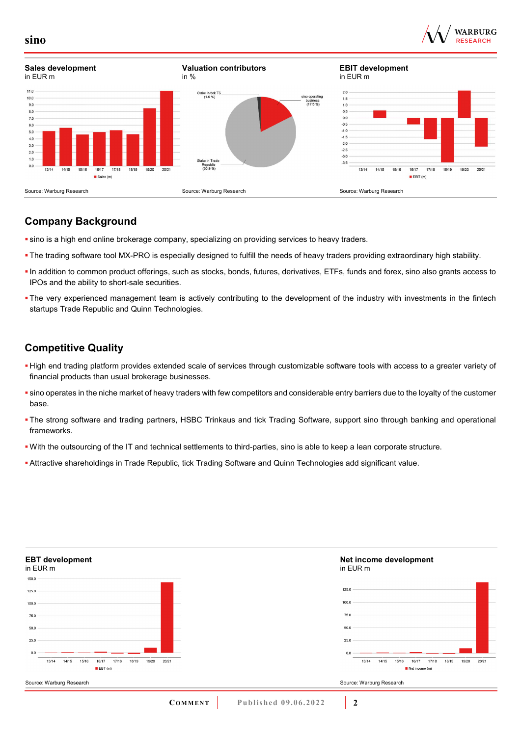



# **Company Background**

- sino is a high end online brokerage company, specializing on providing services to heavy traders.
- The trading software tool MX-PRO is especially designed to fulfill the needs of heavy traders providing extraordinary high stability.
- In addition to common product offerings, such as stocks, bonds, futures, derivatives, ETFs, funds and forex, sino also grants access to IPOs and the ability to short-sale securities.
- The very experienced management team is actively contributing to the development of the industry with investments in the fintech startups Trade Republic and Quinn Technologies.

## **Competitive Quality**

- High end trading platform provides extended scale of services through customizable software tools with access to a greater variety of financial products than usual brokerage businesses.
- sino operates in the niche market of heavy traders with few competitors and considerable entry barriers due to the loyalty of the customer base.
- The strong software and trading partners, HSBC Trinkaus and tick Trading Software, support sino through banking and operational frameworks.
- With the outsourcing of the IT and technical settlements to third-parties, sino is able to keep a lean corporate structure.
- Attractive shareholdings in Trade Republic, tick Trading Software and Quinn Technologies add significant value.



**sino**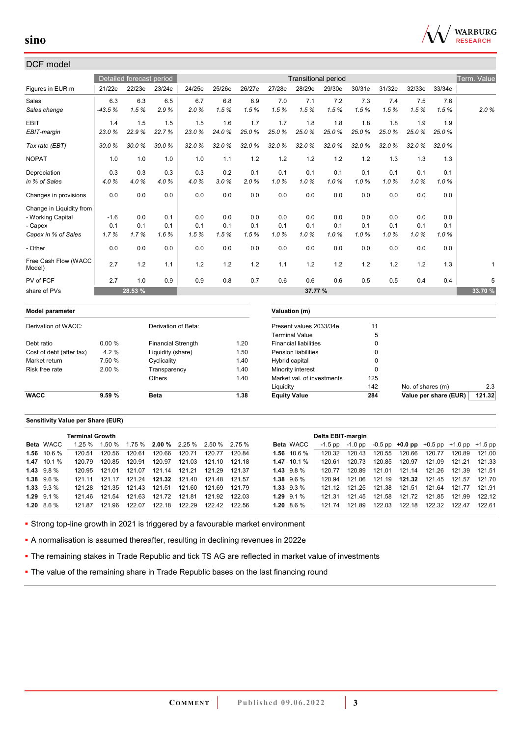

## DCF model

|                                |          | Detailed forecast period |                           |        |        |        |                     | <b>Transitional period</b>                            |        |        |        |                       |        | Term. Value |
|--------------------------------|----------|--------------------------|---------------------------|--------|--------|--------|---------------------|-------------------------------------------------------|--------|--------|--------|-----------------------|--------|-------------|
| Figures in EUR m               | 21/22e   | 22/23e                   | 23/24e                    | 24/25e | 25/26e | 26/27e | 27/28e              | 28/29e                                                | 29/30e | 30/31e | 31/32e | 32/33e                | 33/34e |             |
| Sales                          | 6.3      | 6.3                      | 6.5                       | 6.7    | 6.8    | 6.9    | 7.0                 | 7.1                                                   | 7.2    | 7.3    | 7.4    | 7.5                   | 7.6    |             |
| Sales change                   | $-43.5%$ | 1.5%                     | 2.9%                      | 2.0%   | 1.5%   | 1.5%   | 1.5%                | 1.5%                                                  | 1.5%   | 1.5%   | 1.5%   | 1.5%                  | 1.5%   | 2.0%        |
| <b>EBIT</b>                    | 1.4      | 1.5                      | 1.5                       | 1.5    | 1.6    | 1.7    | 1.7                 | 1.8                                                   | 1.8    | 1.8    | 1.8    | 1.9                   | 1.9    |             |
| EBIT-margin                    | 23.0%    | 22.9%                    | 22.7%                     | 23.0%  | 24.0%  | 25.0%  | 25.0%               | 25.0%                                                 | 25.0%  | 25.0%  | 25.0%  | 25.0%                 | 25.0%  |             |
| Tax rate (EBT)                 | 30.0%    | 30.0%                    | 30.0%                     | 32.0%  | 32.0%  | 32.0%  | 32.0%               | 32.0%                                                 | 32.0%  | 32.0%  | 32.0%  | 32.0%                 | 32.0%  |             |
| <b>NOPAT</b>                   | 1.0      | 1.0                      | 1.0                       | 1.0    | 1.1    | 1.2    | 1.2                 | 1.2                                                   | 1.2    | 1.2    | 1.3    | 1.3                   | 1.3    |             |
| Depreciation                   | 0.3      | 0.3                      | 0.3                       | 0.3    | 0.2    | 0.1    | 0.1                 | 0.1                                                   | 0.1    | 0.1    | 0.1    | 0.1                   | 0.1    |             |
| in % of Sales                  | 4.0%     | 4.0%                     | 4.0%                      | 4.0%   | 3.0%   | 2.0%   | 1.0%                | 1.0%                                                  | 1.0%   | 1.0%   | 1.0%   | 1.0%                  | 1.0%   |             |
| Changes in provisions          | 0.0      | 0.0                      | 0.0                       | 0.0    | 0.0    | 0.0    | 0.0                 | 0.0                                                   | 0.0    | 0.0    | 0.0    | 0.0                   | 0.0    |             |
| Change in Liquidity from       |          |                          |                           |        |        |        |                     |                                                       |        |        |        |                       |        |             |
| - Working Capital              | $-1.6$   | 0.0                      | 0.1                       | 0.0    | 0.0    | 0.0    | 0.0                 | 0.0                                                   | 0.0    | 0.0    | 0.0    | 0.0                   | 0.0    |             |
| - Capex                        | 0.1      | 0.1                      | 0.1                       | 0.1    | 0.1    | 0.1    | 0.1                 | 0.1                                                   | 0.1    | 0.1    | 0.1    | 0.1                   | 0.1    |             |
| Capex in % of Sales            | 1.7%     | 1.7%                     | 1.6%                      | 1.5%   | 1.5%   | 1.5%   | 1.0%                | 1.0%                                                  | 1.0%   | 1.0%   | 1.0%   | 1.0%                  | 1.0%   |             |
| - Other                        | 0.0      | 0.0                      | 0.0                       | 0.0    | 0.0    | 0.0    | 0.0                 | 0.0                                                   | 0.0    | 0.0    | 0.0    | 0.0                   | 0.0    |             |
| Free Cash Flow (WACC<br>Model) | 2.7      | 1.2                      | 1.1                       | 1.2    | 1.2    | 1.2    | 1.1                 | 1.2                                                   | 1.2    | 1.2    | 1.2    | 1.2                   | 1.3    | 1           |
| PV of FCF                      | 2.7      | 1.0                      | 0.9                       | 0.9    | 0.8    | 0.7    | 0.6                 | 0.6                                                   | 0.6    | 0.5    | 0.5    | 0.4                   | 0.4    | 5           |
| share of PVs                   |          | 28.53 %                  |                           |        |        |        |                     | 37.77 %                                               |        |        |        |                       |        | 33.70 %     |
|                                |          |                          |                           |        |        |        |                     |                                                       |        |        |        |                       |        |             |
| <b>Model parameter</b>         |          |                          |                           |        |        |        |                     | Valuation (m)                                         |        |        |        |                       |        |             |
| Derivation of WACC:            |          |                          | Derivation of Beta:       |        |        |        |                     | Present values 2033/34e                               |        |        | 11     |                       |        |             |
| Debt ratio                     | 0.00%    |                          | <b>Financial Strength</b> |        |        | 1.20   |                     | <b>Terminal Value</b><br><b>Financial liabilities</b> |        |        | 5<br>0 |                       |        |             |
| Cost of debt (after tax)       | 4.2%     |                          | Liquidity (share)         |        |        | 1.50   |                     | <b>Pension liabilities</b>                            |        |        | 0      |                       |        |             |
| Market return                  | 7.50 %   |                          | Cyclicality               |        |        | 1.40   | Hybrid capital      |                                                       |        |        | 0      |                       |        |             |
| Risk free rate                 | 2.00%    |                          | Transparency              |        |        | 1.40   |                     | Minority interest                                     |        |        | 0      |                       |        |             |
|                                |          |                          | Others                    |        |        | 1.40   |                     | Market val. of investments                            |        | 125    |        |                       |        |             |
|                                |          |                          |                           |        |        |        | Liquidity           |                                                       |        | 142    |        | No. of shares (m)     |        | 2.3         |
| <b>WACC</b>                    | 9.59%    |                          | <b>Beta</b>               |        |        | 1.38   | <b>Equity Value</b> |                                                       |        | 284    |        | Value per share (EUR) |        | 121.32      |
|                                |          |                          |                           |        |        |        |                     |                                                       |        |        |        |                       |        |             |

#### **Sensitivity Value per Share (EUR)**

|                   | <b>Terminal Growth</b> |        |                                                                     |        |        |        |        |                  | Delta EBIT-margin |               |        |                                                   |        |        |        |
|-------------------|------------------------|--------|---------------------------------------------------------------------|--------|--------|--------|--------|------------------|-------------------|---------------|--------|---------------------------------------------------|--------|--------|--------|
| Beta WACC         |                        |        | $1.25\%$ $1.50\%$ $1.75\%$ <b>2.00</b> % $2.25\%$ $2.50\%$ $2.75\%$ |        |        |        |        | <b>Beta WACC</b> | $-1.5$ pp         | -1.0 pp       |        | $-0.5$ pp $+0.0$ pp $+0.5$ pp $+1.0$ pp $+1.5$ pp |        |        |        |
| $1.56$ 10.6 %     | 120.51                 | 120.56 | 120.61                                                              | 120.66 | 120.71 | 120 77 | 12084  | $1.56$ 10.6 %    | 120.32            | 120.43        | 120.55 | 120.66                                            | 120.77 | 120.89 | 121.00 |
| $1.47$ 10.1 %     | 120.79                 | 120.85 | 120.91                                                              | 120.97 | 121.03 | 121.10 | 121.18 | $1.47$ 10.1 %    | 120.61            | 120.73        | 120.85 | 120.97                                            | 121.09 | 121.21 | 121.33 |
| $1.43$ $9.8\%$    | 120.95                 | 121 01 | 121.07                                                              | 121.14 | 121.21 | 121.29 | 121 37 | $1.43$ $9.8\%$   | 120.77            | 120.89        | 121.01 | 121.14                                            | 121.26 | 121.39 | 121.51 |
| $1.38$ $9.6\%$    | 121 11                 | 121 17 | 121.24                                                              | 121.32 | 121.40 | 121.48 | 121.57 | $1.38$ $9.6\%$   | 120.94            | 121.06        |        | 121.19  121.32                                    | 121.45 | 121.57 | 121.70 |
| $1.33 \t9.3\%$    | 121.28                 |        | 121.35 121.43 121.51                                                |        | 121.60 | 121.69 | 121.79 | $1.33 \t9.3\%$   | 121 12            | 121.25 121.38 |        | 121.51                                            | 121.64 | 121.77 | 121.91 |
| $1.29$ $9.1\%$    | 121.46                 | 121.54 | 121.63                                                              | 121.72 | 121.81 | 121.92 | 12203  | $1.29$ $9.1\%$   | 121.31            | 121.45        | 121.58 | 121.72                                            | 121.85 | 121.99 | 122.12 |
| $1.20\quad 8.6\%$ | 121.87                 | 121.96 | 122.07                                                              | 122.18 | 122.29 | 122.42 | 122.56 | 1.20 $8.6\%$     | 121 74            | 121.89        | 122.03 | 122.18                                            | 122.32 | 122.47 | 122.61 |

Strong top-line growth in 2021 is triggered by a favourable market environment

A normalisation is assumed thereafter, resulting in declining revenues in 2022e

**- The remaining stakes in Trade Republic and tick TS AG are reflected in market value of investments** 

**The value of the remaining share in Trade Republic bases on the last financing round**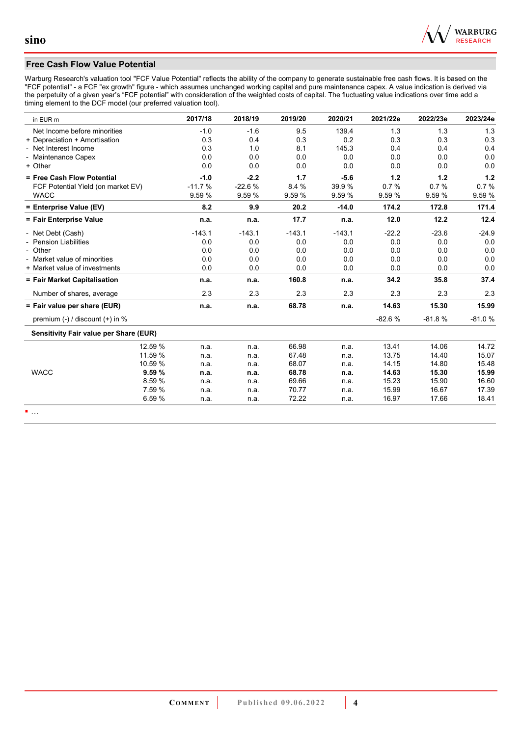

### **Free Cash Flow Value Potential**

Warburg Research's valuation tool "FCF Value Potential" reflects the ability of the company to generate sustainable free cash flows. It is based on the "FCF potential" - a FCF "ex growth" figure - which assumes unchanged working capital and pure maintenance capex. A value indication is derived via the perpetuity of a given year's "FCF potential" with consideration of the weighted costs of capital. The fluctuating value indications over time add a timing element to the DCF model (our preferred valuation tool).

| in EUR m                               | 2017/18  | 2018/19  | 2019/20  | 2020/21  | 2021/22e | 2022/23e | 2023/24e |
|----------------------------------------|----------|----------|----------|----------|----------|----------|----------|
| Net Income before minorities           | $-1.0$   | $-1.6$   | 9.5      | 139.4    | 1.3      | 1.3      | 1.3      |
| + Depreciation + Amortisation          | 0.3      | 0.4      | 0.3      | 0.2      | 0.3      | 0.3      | 0.3      |
| - Net Interest Income                  | 0.3      | 1.0      | 8.1      | 145.3    | 0.4      | 0.4      | 0.4      |
| - Maintenance Capex                    | 0.0      | 0.0      | 0.0      | 0.0      | 0.0      | 0.0      | 0.0      |
| + Other                                | 0.0      | 0.0      | 0.0      | 0.0      | 0.0      | 0.0      | 0.0      |
| = Free Cash Flow Potential             | $-1.0$   | $-2.2$   | 1.7      | $-5.6$   | 1.2      | 1.2      | 1.2      |
| FCF Potential Yield (on market EV)     | $-11.7%$ | $-22.6%$ | 8.4%     | 39.9%    | 0.7%     | 0.7%     | 0.7%     |
| <b>WACC</b>                            | 9.59 %   | 9.59 %   | 9.59 %   | 9.59 %   | 9.59 %   | 9.59 %   | 9.59%    |
| = Enterprise Value (EV)                | 8.2      | 9.9      | 20.2     | $-14.0$  | 174.2    | 172.8    | 171.4    |
| = Fair Enterprise Value                | n.a.     | n.a.     | 17.7     | n.a.     | 12.0     | 12.2     | 12.4     |
| - Net Debt (Cash)                      | $-143.1$ | $-143.1$ | $-143.1$ | $-143.1$ | $-22.2$  | $-23.6$  | $-24.9$  |
| - Pension Liabilities                  | 0.0      | 0.0      | 0.0      | 0.0      | 0.0      | 0.0      | 0.0      |
| - Other                                | 0.0      | 0.0      | 0.0      | 0.0      | 0.0      | 0.0      | 0.0      |
| - Market value of minorities           | 0.0      | 0.0      | 0.0      | 0.0      | 0.0      | 0.0      | 0.0      |
| + Market value of investments          | 0.0      | 0.0      | 0.0      | 0.0      | 0.0      | 0.0      | 0.0      |
| = Fair Market Capitalisation           | n.a.     | n.a.     | 160.8    | n.a.     | 34.2     | 35.8     | 37.4     |
| Number of shares, average              | 2.3      | 2.3      | 2.3      | 2.3      | 2.3      | 2.3      | 2.3      |
| = Fair value per share (EUR)           | n.a.     | n.a.     | 68.78    | n.a.     | 14.63    | 15.30    | 15.99    |
| premium $(-)$ / discount $(+)$ in %    |          |          |          |          | $-82.6%$ | $-81.8%$ | $-81.0%$ |
| Sensitivity Fair value per Share (EUR) |          |          |          |          |          |          |          |
| 12.59 %                                | n.a.     | n.a.     | 66.98    | n.a.     | 13.41    | 14.06    | 14.72    |
| 11.59 %                                | n.a.     | n.a.     | 67.48    | n.a.     | 13.75    | 14.40    | 15.07    |
| 10.59 %                                | n.a.     | n.a.     | 68.07    | n.a.     | 14.15    | 14.80    | 15.48    |
| <b>WACC</b><br>9.59%                   | n.a.     | n.a.     | 68.78    | n.a.     | 14.63    | 15.30    | 15.99    |
| 8.59 %                                 | n.a.     | n.a.     | 69.66    | n.a.     | 15.23    | 15.90    | 16.60    |
| 7.59 %                                 | n.a.     | n.a.     | 70.77    | n.a.     | 15.99    | 16.67    | 17.39    |
| 6.59%                                  | n.a.     | n.a.     | 72.22    | n.a.     | 16.97    | 17.66    | 18.41    |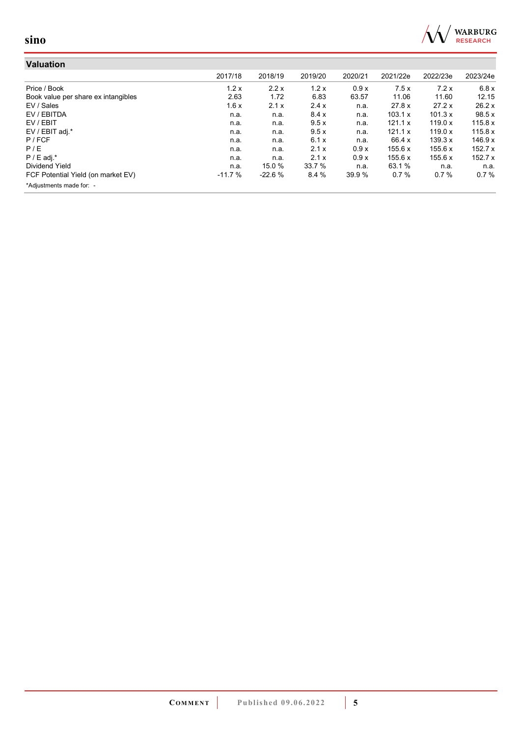

| Valuation                           |          |          |         |         |          |          |          |
|-------------------------------------|----------|----------|---------|---------|----------|----------|----------|
|                                     | 2017/18  | 2018/19  | 2019/20 | 2020/21 | 2021/22e | 2022/23e | 2023/24e |
| Price / Book                        | 1.2x     | 2.2x     | 1.2x    | 0.9x    | 7.5x     | 7.2x     | 6.8x     |
| Book value per share ex intangibles | 2.63     | 1.72     | 6.83    | 63.57   | 11.06    | 11.60    | 12.15    |
| EV / Sales                          | 1.6x     | 2.1x     | 2.4x    | n.a.    | 27.8 x   | 27.2 x   | 26.2 x   |
| EV / EBITDA                         | n.a.     | n.a.     | 8.4x    | n.a.    | 103.1 x  | 101.3 x  | 98.5x    |
| EV / EBIT                           | n.a.     | n.a.     | 9.5x    | n.a.    | 121.1 x  | 119.0 x  | 115.8 x  |
| EV / EBIT adj.*                     | n.a.     | n.a.     | 9.5x    | n.a.    | 121.1 x  | 119.0 x  | 115.8 x  |
| P / FCF                             | n.a.     | n.a.     | 6.1x    | n.a.    | 66.4 x   | 139.3 x  | 146.9 x  |
| P/E                                 | n.a.     | n.a.     | 2.1x    | 0.9x    | 155.6 x  | 155.6 x  | 152.7x   |
| $P / E$ adj.*                       | n.a.     | n.a.     | 2.1x    | 0.9x    | 155.6 x  | 155.6 x  | 152.7x   |
| <b>Dividend Yield</b>               | n.a.     | 15.0 %   | 33.7 %  | n.a.    | 63.1 %   | n.a.     | n.a.     |
| FCF Potential Yield (on market EV)  | $-11.7%$ | $-22.6%$ | 8.4%    | 39.9 %  | 0.7%     | 0.7%     | 0.7%     |
| *Adjustments made for: -            |          |          |         |         |          |          |          |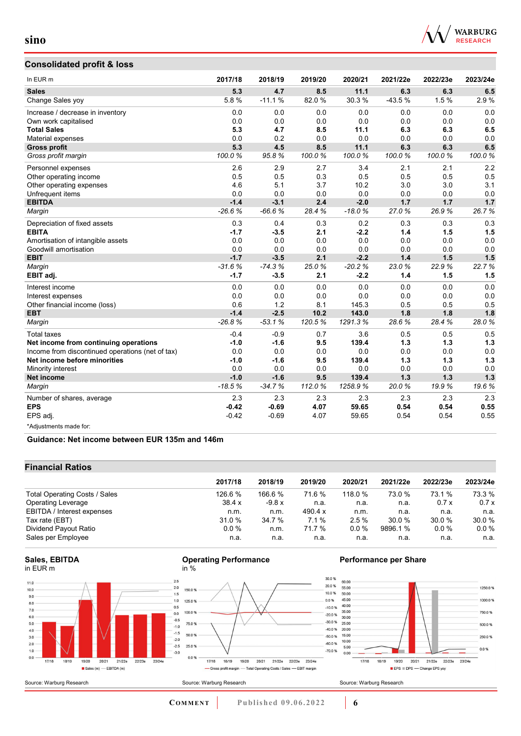

# **Consolidated profit & loss**

| In EUR <sub>m</sub>                              | 2017/18  | 2018/19  | 2019/20 | 2020/21  | 2021/22e | 2022/23e | 2023/24e |
|--------------------------------------------------|----------|----------|---------|----------|----------|----------|----------|
| <b>Sales</b>                                     | 5.3      | 4.7      | 8.5     | 11.1     | 6.3      | 6.3      | 6.5      |
| Change Sales yoy                                 | 5.8%     | $-11.1%$ | 82.0%   | 30.3%    | -43.5 %  | 1.5%     | 2.9%     |
| Increase / decrease in inventory                 | 0.0      | 0.0      | 0.0     | 0.0      | 0.0      | 0.0      | 0.0      |
| Own work capitalised                             | 0.0      | 0.0      | 0.0     | 0.0      | 0.0      | 0.0      | 0.0      |
| <b>Total Sales</b>                               | 5.3      | 4.7      | 8.5     | 11.1     | 6.3      | 6.3      | 6.5      |
| Material expenses                                | 0.0      | 0.2      | 0.0     | 0.0      | 0.0      | 0.0      | 0.0      |
| <b>Gross profit</b>                              | 5.3      | 4.5      | 8.5     | 11.1     | 6.3      | 6.3      | 6.5      |
| Gross profit margin                              | 100.0%   | 95.8%    | 100.0%  | 100.0%   | 100.0%   | 100.0%   | 100.0%   |
| Personnel expenses                               | 2.6      | 2.9      | 2.7     | 3.4      | 2.1      | 2.1      | 2.2      |
| Other operating income                           | 0.5      | 0.5      | 0.3     | 0.5      | 0.5      | 0.5      | 0.5      |
| Other operating expenses                         | 4.6      | 5.1      | 3.7     | 10.2     | 3.0      | 3.0      | 3.1      |
| Unfrequent items                                 | 0.0      | 0.0      | 0.0     | 0.0      | 0.0      | 0.0      | 0.0      |
| <b>EBITDA</b>                                    | $-1.4$   | $-3.1$   | 2.4     | $-2.0$   | 1.7      | 1.7      | 1.7      |
| Margin                                           | $-26.6%$ | $-66.6%$ | 28.4%   | $-18.0%$ | 27.0%    | 26.9%    | 26.7%    |
| Depreciation of fixed assets                     | 0.3      | 0.4      | 0.3     | 0.2      | 0.3      | 0.3      | 0.3      |
| <b>EBITA</b>                                     | $-1.7$   | $-3.5$   | 2.1     | $-2.2$   | 1.4      | 1.5      | 1.5      |
| Amortisation of intangible assets                | 0.0      | 0.0      | 0.0     | 0.0      | 0.0      | 0.0      | 0.0      |
| Goodwill amortisation                            | 0.0      | 0.0      | 0.0     | 0.0      | 0.0      | 0.0      | 0.0      |
| <b>EBIT</b>                                      | $-1.7$   | $-3.5$   | 2.1     | $-2.2$   | 1.4      | 1.5      | 1.5      |
| Margin                                           | $-31.6%$ | $-74.3%$ | 25.0%   | $-20.2%$ | 23.0%    | 22.9%    | 22.7%    |
| EBIT adj.                                        | $-1.7$   | $-3.5$   | 2.1     | $-2.2$   | 1.4      | 1.5      | 1.5      |
| Interest income                                  | 0.0      | 0.0      | 0.0     | 0.0      | 0.0      | 0.0      | 0.0      |
| Interest expenses                                | 0.0      | 0.0      | 0.0     | 0.0      | 0.0      | 0.0      | 0.0      |
| Other financial income (loss)                    | 0.6      | 1.2      | 8.1     | 145.3    | 0.5      | 0.5      | 0.5      |
| <b>EBT</b>                                       | $-1.4$   | $-2.5$   | 10.2    | 143.0    | 1.8      | 1.8      | 1.8      |
| Margin                                           | $-26.8%$ | $-53.1%$ | 120.5%  | 1291.3%  | 28.6%    | 28.4%    | 28.0%    |
| <b>Total taxes</b>                               | $-0.4$   | $-0.9$   | 0.7     | 3.6      | 0.5      | 0.5      | 0.5      |
| Net income from continuing operations            | $-1.0$   | $-1.6$   | 9.5     | 139.4    | 1.3      | 1.3      | 1.3      |
| Income from discontinued operations (net of tax) | 0.0      | 0.0      | 0.0     | 0.0      | 0.0      | 0.0      | 0.0      |
| Net income before minorities                     | $-1.0$   | $-1.6$   | 9.5     | 139.4    | 1.3      | 1.3      | 1.3      |
| Minority interest                                | 0.0      | 0.0      | 0.0     | 0.0      | 0.0      | 0.0      | 0.0      |
| <b>Net income</b>                                | $-1.0$   | $-1.6$   | 9.5     | 139.4    | $1.3$    | 1.3      | 1.3      |
| Margin                                           | $-18.5%$ | $-34.7%$ | 112.0%  | 1258.9%  | 20.0%    | 19.9%    | 19.6%    |
| Number of shares, average                        | 2.3      | 2.3      | 2.3     | 2.3      | 2.3      | 2.3      | 2.3      |
| <b>EPS</b>                                       | $-0.42$  | $-0.69$  | 4.07    | 59.65    | 0.54     | 0.54     | 0.55     |
| EPS adj.                                         | $-0.42$  | $-0.69$  | 4.07    | 59.65    | 0.54     | 0.54     | 0.55     |
| *Adjustments made for:                           |          |          |         |          |          |          |          |

**Guidance: Net income between EUR 135m and 146m**

### **Financial Ratios**

| 2017/18 | 2018/19 | 2019/20        | 2020/21   | 2021/22e | 2022/23e | 2023/24e |
|---------|---------|----------------|-----------|----------|----------|----------|
| 126.6 % | 166.6 % | 71.6 %         | 118.0 $%$ | 73.0 %   | 73.1 %   | 73.3 %   |
| 38.4x   | $-9.8x$ | n.a.           | n.a.      | n.a.     | 0.7x     | 0.7x     |
| n.m.    | n.m.    | 490.4 $\times$ | n.m.      | n.a.     | n.a.     | n.a.     |
| 31.0 %  | 34.7 %  | 7.1%           | 2.5%      | 30.0%    | 30.0 %   | 30.0 %   |
| $0.0\%$ | n.m.    | 71.7 %         | $0.0\%$   | 9896.1%  | $0.0\%$  | $0.0\%$  |
| n.a.    | n.a.    | n.a.           | n.a.      | n.a.     | n.a.     | n.a.     |
|         |         |                |           |          |          |          |









### **Performance per Share**



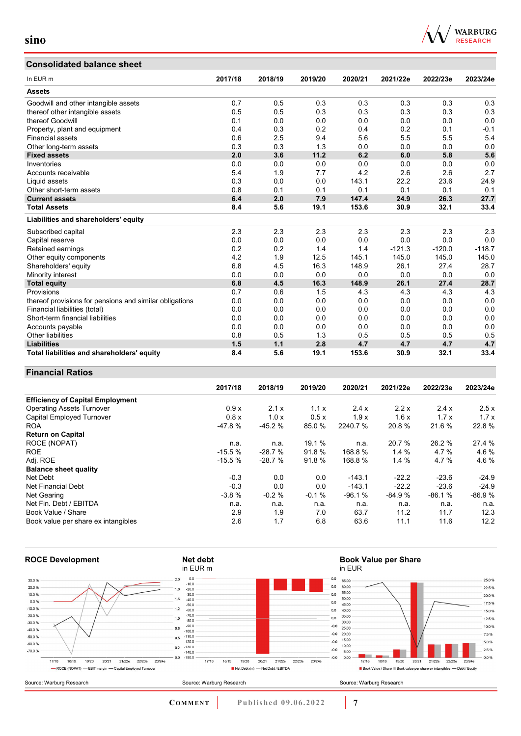## **Consolidated balance sheet**

| In EUR <sub>m</sub>                                     | 2017/18 | 2018/19 | 2019/20 | 2020/21 | 2021/22e | 2022/23e | 2023/24e |
|---------------------------------------------------------|---------|---------|---------|---------|----------|----------|----------|
| <b>Assets</b>                                           |         |         |         |         |          |          |          |
| Goodwill and other intangible assets                    | 0.7     | 0.5     | 0.3     | 0.3     | 0.3      | 0.3      | 0.3      |
| thereof other intangible assets                         | 0.5     | 0.5     | 0.3     | 0.3     | 0.3      | 0.3      | 0.3      |
| thereof Goodwill                                        | 0.1     | 0.0     | 0.0     | 0.0     | 0.0      | 0.0      | 0.0      |
| Property, plant and equipment                           | 0.4     | 0.3     | 0.2     | 0.4     | 0.2      | 0.1      | $-0.1$   |
| <b>Financial assets</b>                                 | 0.6     | 2.5     | 9.4     | 5.6     | 5.5      | 5.5      | 5.4      |
| Other long-term assets                                  | 0.3     | 0.3     | 1.3     | 0.0     | 0.0      | 0.0      | 0.0      |
| <b>Fixed assets</b>                                     | 2.0     | 3.6     | 11.2    | 6.2     | 6.0      | 5.8      | 5.6      |
| Inventories                                             | 0.0     | 0.0     | 0.0     | 0.0     | 0.0      | 0.0      | 0.0      |
| Accounts receivable                                     | 5.4     | 1.9     | 7.7     | 4.2     | 2.6      | 2.6      | 2.7      |
| Liquid assets                                           | 0.3     | 0.0     | 0.0     | 143.1   | 22.2     | 23.6     | 24.9     |
| Other short-term assets                                 | 0.8     | 0.1     | 0.1     | 0.1     | 0.1      | 0.1      | 0.1      |
| <b>Current assets</b>                                   | 6.4     | 2.0     | 7.9     | 147.4   | 24.9     | 26.3     | 27.7     |
| <b>Total Assets</b>                                     | 8.4     | 5.6     | 19.1    | 153.6   | 30.9     | 32.1     | 33.4     |
| Liabilities and shareholders' equity                    |         |         |         |         |          |          |          |
| Subscribed capital                                      | 2.3     | 2.3     | 2.3     | 2.3     | 2.3      | 2.3      | 2.3      |
| Capital reserve                                         | 0.0     | 0.0     | 0.0     | 0.0     | 0.0      | 0.0      | 0.0      |
| Retained earnings                                       | 0.2     | 0.2     | 1.4     | 1.4     | $-121.3$ | $-120.0$ | $-118.7$ |
| Other equity components                                 | 4.2     | 1.9     | 12.5    | 145.1   | 145.0    | 145.0    | 145.0    |
| Shareholders' equity                                    | 6.8     | 4.5     | 16.3    | 148.9   | 26.1     | 27.4     | 28.7     |
| Minority interest                                       | 0.0     | 0.0     | 0.0     | 0.0     | 0.0      | 0.0      | 0.0      |
| <b>Total equity</b>                                     | 6.8     | 4.5     | 16.3    | 148.9   | 26.1     | 27.4     | 28.7     |
| Provisions                                              | 0.7     | 0.6     | 1.5     | 4.3     | 4.3      | 4.3      | 4.3      |
| thereof provisions for pensions and similar obligations | 0.0     | 0.0     | 0.0     | 0.0     | 0.0      | 0.0      | 0.0      |
| Financial liabilities (total)                           | 0.0     | 0.0     | 0.0     | 0.0     | 0.0      | 0.0      | 0.0      |
| Short-term financial liabilities                        | 0.0     | 0.0     | 0.0     | 0.0     | 0.0      | 0.0      | 0.0      |
| Accounts payable                                        | 0.0     | 0.0     | 0.0     | 0.0     | 0.0      | 0.0      | 0.0      |
| <b>Other liabilities</b>                                | 0.8     | 0.5     | 1.3     | 0.5     | 0.5      | 0.5      | 0.5      |
| <b>Liabilities</b>                                      | 1.5     | 1.1     | 2.8     | 4.7     | 4.7      | 4.7      | 4.7      |
| Total liabilities and shareholders' equity              | 8.4     | 5.6     | 19.1    | 153.6   | 30.9     | 32.1     | 33.4     |

### **Financial Ratios**

|                                         | 2017/18  | 2018/19  | 2019/20 | 2020/21  | 2021/22e | 2022/23e | 2023/24e |
|-----------------------------------------|----------|----------|---------|----------|----------|----------|----------|
| <b>Efficiency of Capital Employment</b> |          |          |         |          |          |          |          |
| <b>Operating Assets Turnover</b>        | 0.9x     | 2.1x     | 1.1x    | 2.4x     | 2.2x     | 2.4x     | 2.5x     |
| Capital Employed Turnover               | 0.8x     | 1.0x     | 0.5x    | 1.9x     | 1.6x     | 1.7x     | 1.7x     |
| <b>ROA</b>                              | $-47.8%$ | $-45.2%$ | 85.0%   | 2240.7 % | 20.8%    | 21.6 %   | 22.8%    |
| <b>Return on Capital</b>                |          |          |         |          |          |          |          |
| ROCE (NOPAT)                            | n.a.     | n.a.     | 19.1 %  | n.a.     | 20.7 %   | 26.2%    | 27.4 %   |
| <b>ROE</b>                              | $-15.5%$ | $-28.7%$ | 91.8%   | 168.8 %  | 1.4%     | 4.7%     | 4.6%     |
| Adj. ROE                                | $-15.5%$ | $-28.7%$ | 91.8%   | 168.8%   | 1.4%     | 4.7%     | 4.6%     |
| <b>Balance sheet quality</b>            |          |          |         |          |          |          |          |
| Net Debt                                | $-0.3$   | 0.0      | 0.0     | $-143.1$ | $-22.2$  | $-23.6$  | $-24.9$  |
| Net Financial Debt                      | $-0.3$   | 0.0      | 0.0     | $-143.1$ | $-22.2$  | $-23.6$  | $-24.9$  |
| Net Gearing                             | $-3.8%$  | $-0.2%$  | $-0.1%$ | $-96.1%$ | $-84.9%$ | $-86.1%$ | $-86.9%$ |
| Net Fin. Debt / EBITDA                  | n.a.     | n.a.     | n.a.    | n.a.     | n.a.     | n.a.     | n.a.     |
| Book Value / Share                      | 2.9      | 1.9      | 7.0     | 63.7     | 11.2     | 11.7     | 12.3     |
| Book value per share ex intangibles     | 2.6      | 1.7      | 6.8     | 63.6     | 11.1     | 11.6     | 12.2     |



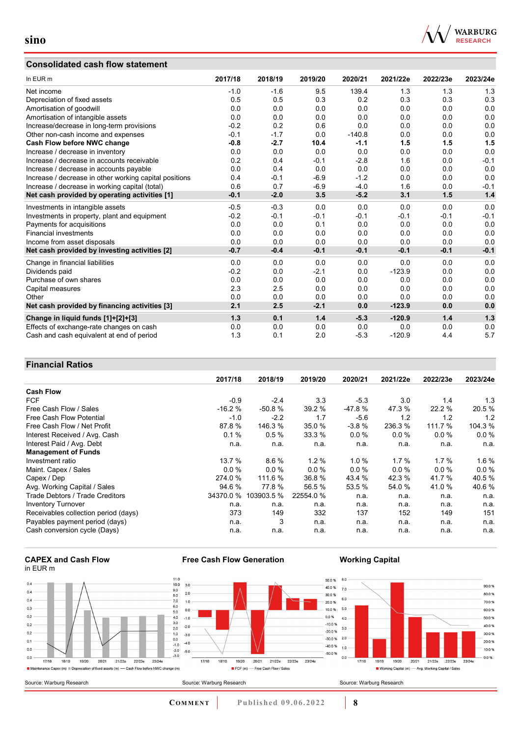# **Consolidated cash flow statement**



| In EUR m                                               | 2017/18 | 2018/19 | 2019/20 | 2020/21  | 2021/22e | 2022/23e | 2023/24e |
|--------------------------------------------------------|---------|---------|---------|----------|----------|----------|----------|
| Net income                                             | $-1.0$  | $-1.6$  | 9.5     | 139.4    | 1.3      | 1.3      | 1.3      |
| Depreciation of fixed assets                           | 0.5     | 0.5     | 0.3     | 0.2      | 0.3      | 0.3      | 0.3      |
| Amortisation of goodwill                               | 0.0     | 0.0     | 0.0     | 0.0      | 0.0      | 0.0      | 0.0      |
| Amortisation of intangible assets                      | 0.0     | 0.0     | 0.0     | 0.0      | 0.0      | 0.0      | 0.0      |
| Increase/decrease in long-term provisions              | $-0.2$  | 0.2     | 0.6     | 0.0      | 0.0      | 0.0      | 0.0      |
| Other non-cash income and expenses                     | $-0.1$  | $-1.7$  | 0.0     | $-140.8$ | 0.0      | 0.0      | 0.0      |
| Cash Flow before NWC change                            | $-0.8$  | $-2.7$  | 10.4    | $-1.1$   | 1.5      | 1.5      | 1.5      |
| Increase / decrease in inventory                       | 0.0     | 0.0     | 0.0     | 0.0      | 0.0      | 0.0      | 0.0      |
| Increase / decrease in accounts receivable             | 0.2     | 0.4     | $-0.1$  | $-2.8$   | 1.6      | 0.0      | $-0.1$   |
| Increase / decrease in accounts payable                | 0.0     | 0.4     | 0.0     | 0.0      | 0.0      | 0.0      | 0.0      |
| Increase / decrease in other working capital positions | 0.4     | $-0.1$  | $-6.9$  | $-1.2$   | 0.0      | 0.0      | 0.0      |
| Increase / decrease in working capital (total)         | 0.6     | 0.7     | $-6.9$  | $-4.0$   | 1.6      | 0.0      | $-0.1$   |
| Net cash provided by operating activities [1]          | $-0.1$  | $-2.0$  | 3.5     | $-5.2$   | 3.1      | 1.5      | 1.4      |
| Investments in intangible assets                       | $-0.5$  | $-0.3$  | 0.0     | 0.0      | 0.0      | 0.0      | 0.0      |
| Investments in property, plant and equipment           | $-0.2$  | $-0.1$  | $-0.1$  | $-0.1$   | $-0.1$   | $-0.1$   | $-0.1$   |
| Payments for acquisitions                              | 0.0     | 0.0     | 0.1     | 0.0      | 0.0      | 0.0      | 0.0      |
| <b>Financial investments</b>                           | 0.0     | 0.0     | 0.0     | 0.0      | 0.0      | 0.0      | 0.0      |
| Income from asset disposals                            | 0.0     | 0.0     | 0.0     | 0.0      | 0.0      | 0.0      | 0.0      |
| Net cash provided by investing activities [2]          | $-0.7$  | $-0.4$  | $-0.1$  | $-0.1$   | $-0.1$   | $-0.1$   | $-0.1$   |
| Change in financial liabilities                        | 0.0     | 0.0     | 0.0     | 0.0      | 0.0      | 0.0      | 0.0      |
| Dividends paid                                         | $-0.2$  | 0.0     | $-2.1$  | 0.0      | $-123.9$ | 0.0      | 0.0      |
| Purchase of own shares                                 | 0.0     | 0.0     | 0.0     | 0.0      | 0.0      | 0.0      | 0.0      |
| Capital measures                                       | 2.3     | 2.5     | 0.0     | 0.0      | 0.0      | 0.0      | 0.0      |
| Other                                                  | 0.0     | 0.0     | 0.0     | 0.0      | 0.0      | 0.0      | 0.0      |
| Net cash provided by financing activities [3]          | 2.1     | 2.5     | $-2.1$  | 0.0      | $-123.9$ | 0.0      | 0.0      |
| Change in liquid funds [1]+[2]+[3]                     | 1.3     | 0.1     | 1.4     | $-5.3$   | $-120.9$ | 1.4      | 1.3      |
| Effects of exchange-rate changes on cash               | 0.0     | 0.0     | 0.0     | 0.0      | 0.0      | 0.0      | 0.0      |
| Cash and cash equivalent at end of period              | 1.3     | 0.1     | 2.0     | $-5.3$   | $-120.9$ | 4.4      | 5.7      |

### **Financial Ratios**

|                                      | 2017/18   | 2018/19    | 2019/20   | 2020/21  | 2021/22e | 2022/23e | 2023/24e |
|--------------------------------------|-----------|------------|-----------|----------|----------|----------|----------|
| <b>Cash Flow</b>                     |           |            |           |          |          |          |          |
| <b>FCF</b>                           | $-0.9$    | $-2.4$     | 3.3       | $-5.3$   | 3.0      | 1.4      | 1.3      |
| Free Cash Flow / Sales               | $-16.2%$  | $-50.8%$   | 39.2 %    | $-47.8%$ | 47.3 %   | 22.2 %   | 20.5 %   |
| Free Cash Flow Potential             | $-1.0$    | $-2.2$     | 1.7       | $-5.6$   | 1.2      | 1.2      | 1.2      |
| Free Cash Flow / Net Profit          | 87.8%     | 146.3 %    | 35.0 %    | $-3.8%$  | 236.3 %  | 111.7 %  | 104.3 %  |
| Interest Received / Avg. Cash        | 0.1%      | 0.5%       | 33.3%     | $0.0\%$  | $0.0\%$  | $0.0\%$  | 0.0%     |
| Interest Paid / Avg. Debt            | n.a.      | n.a.       | n.a.      | n.a.     | n.a.     | n.a.     | n.a.     |
| <b>Management of Funds</b>           |           |            |           |          |          |          |          |
| Investment ratio                     | 13.7%     | 8.6%       | $1.2\%$   | $1.0 \%$ | $1.7\%$  | $1.7\%$  | $1.6\%$  |
| Maint. Capex / Sales                 | $0.0 \%$  | 0.0%       | 0.0%      | $0.0\%$  | 0.0%     | $0.0 \%$ | 0.0%     |
| Capex / Dep                          | 274.0 %   | 111.6 %    | 36.8 %    | 43.4 %   | 42.3 %   | 41.7 %   | 40.5 %   |
| Avg. Working Capital / Sales         | 94.6 %    | 77.8%      | 56.5 %    | 53.5 %   | 54.0 %   | 41.0 %   | 40.6%    |
| Trade Debtors / Trade Creditors      | 34370.0 % | 103903.5 % | 22554.0 % | n.a.     | n.a.     | n.a.     | n.a.     |
| <b>Inventory Turnover</b>            | n.a.      | n.a.       | n.a.      | n.a.     | n.a.     | n.a.     | n.a.     |
| Receivables collection period (days) | 373       | 149        | 332       | 137      | 152      | 149      | 151      |
| Payables payment period (days)       | n.a.      | 3          | n.a.      | n.a.     | n.a.     | n.a.     | n.a.     |
| Cash conversion cycle (Days)         | n.a.      | n.a.       | n.a.      | n.a.     | n.a.     | n.a.     | n.a.     |





**Free Cash Flow Generation**

**Working Capital**

90.0%

80.0%

70.0%

60.0%

50.0%

40.0%

30.0%

20.0 %

10.0%

 $-0.0%$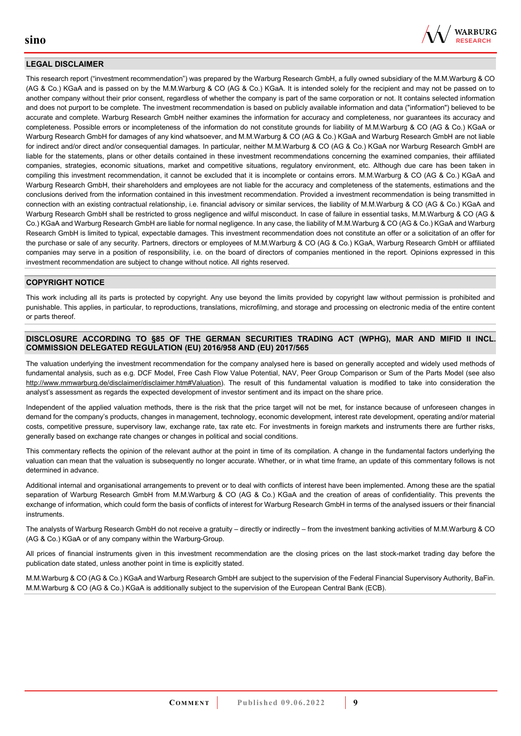

#### **LEGAL DISCLAIMER**

This research report ("investment recommendation") was prepared by the Warburg Research GmbH, a fully owned subsidiary of the M.M.Warburg & CO (AG & Co.) KGaA and is passed on by the M.M.Warburg & CO (AG & Co.) KGaA. It is intended solely for the recipient and may not be passed on to another company without their prior consent, regardless of whether the company is part of the same corporation or not. It contains selected information and does not purport to be complete. The investment recommendation is based on publicly available information and data ("information") believed to be accurate and complete. Warburg Research GmbH neither examines the information for accuracy and completeness, nor guarantees its accuracy and completeness. Possible errors or incompleteness of the information do not constitute grounds for liability of M.M.Warburg & CO (AG & Co.) KGaA or Warburg Research GmbH for damages of any kind whatsoever, and M.M.Warburg & CO (AG & Co.) KGaA and Warburg Research GmbH are not liable for indirect and/or direct and/or consequential damages. In particular, neither M.M.Warburg & CO (AG & Co.) KGaA nor Warburg Research GmbH are liable for the statements, plans or other details contained in these investment recommendations concerning the examined companies, their affiliated companies, strategies, economic situations, market and competitive situations, regulatory environment, etc. Although due care has been taken in compiling this investment recommendation, it cannot be excluded that it is incomplete or contains errors. M.M.Warburg & CO (AG & Co.) KGaA and Warburg Research GmbH, their shareholders and employees are not liable for the accuracy and completeness of the statements, estimations and the conclusions derived from the information contained in this investment recommendation. Provided a investment recommendation is being transmitted in connection with an existing contractual relationship, i.e. financial advisory or similar services, the liability of M.M.Warburg & CO (AG & Co.) KGaA and Warburg Research GmbH shall be restricted to gross negligence and wilful misconduct. In case of failure in essential tasks, M.M.Warburg & CO (AG & Co.) KGaA and Warburg Research GmbH are liable for normal negligence. In any case, the liability of M.M.Warburg & CO (AG & Co.) KGaA and Warburg Research GmbH is limited to typical, expectable damages. This investment recommendation does not constitute an offer or a solicitation of an offer for the purchase or sale of any security. Partners, directors or employees of M.M.Warburg & CO (AG & Co.) KGaA, Warburg Research GmbH or affiliated companies may serve in a position of responsibility, i.e. on the board of directors of companies mentioned in the report. Opinions expressed in this investment recommendation are subject to change without notice. All rights reserved.

### **COPYRIGHT NOTICE**

This work including all its parts is protected by copyright. Any use beyond the limits provided by copyright law without permission is prohibited and punishable. This applies, in particular, to reproductions, translations, microfilming, and storage and processing on electronic media of the entire content or parts thereof.

#### **DISCLOSURE ACCORDING TO §85 OF THE GERMAN SECURITIES TRADING ACT (WPHG), MAR AND MIFID II INCL. COMMISSION DELEGATED REGULATION (EU) 2016/958 AND (EU) 2017/565**

The valuation underlying the investment recommendation for the company analysed here is based on generally accepted and widely used methods of fundamental analysis, such as e.g. DCF Model, Free Cash Flow Value Potential, NAV, Peer Group Comparison or Sum of the Parts Model (see also [http://www.mmwarburg.de/disclaimer/disclaimer.htm#Valuation\)](http://www.mmwarburg.de/disclaimer/disclaimer.htm#Valuation). The result of this fundamental valuation is modified to take into consideration the analyst's assessment as regards the expected development of investor sentiment and its impact on the share price.

Independent of the applied valuation methods, there is the risk that the price target will not be met, for instance because of unforeseen changes in demand for the company's products, changes in management, technology, economic development, interest rate development, operating and/or material costs, competitive pressure, supervisory law, exchange rate, tax rate etc. For investments in foreign markets and instruments there are further risks, generally based on exchange rate changes or changes in political and social conditions.

This commentary reflects the opinion of the relevant author at the point in time of its compilation. A change in the fundamental factors underlying the valuation can mean that the valuation is subsequently no longer accurate. Whether, or in what time frame, an update of this commentary follows is not determined in advance.

Additional internal and organisational arrangements to prevent or to deal with conflicts of interest have been implemented. Among these are the spatial separation of Warburg Research GmbH from M.M.Warburg & CO (AG & Co.) KGaA and the creation of areas of confidentiality. This prevents the exchange of information, which could form the basis of conflicts of interest for Warburg Research GmbH in terms of the analysed issuers or their financial instruments.

The analysts of Warburg Research GmbH do not receive a gratuity – directly or indirectly – from the investment banking activities of M.M.Warburg & CO (AG & Co.) KGaA or of any company within the Warburg-Group.

All prices of financial instruments given in this investment recommendation are the closing prices on the last stock-market trading day before the publication date stated, unless another point in time is explicitly stated.

M.M.Warburg & CO (AG & Co.) KGaA and Warburg Research GmbH are subject to the supervision of the Federal Financial Supervisory Authority, BaFin. M.M.Warburg & CO (AG & Co.) KGaA is additionally subject to the supervision of the European Central Bank (ECB).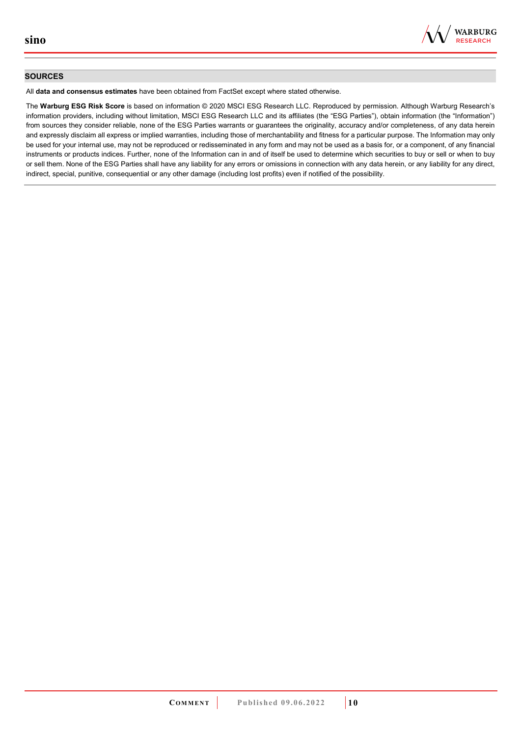

#### **SOURCES**

All **data and consensus estimates** have been obtained from FactSet except where stated otherwise.

The **Warburg ESG Risk Score** is based on information © 2020 MSCI ESG Research LLC. Reproduced by permission. Although Warburg Research's information providers, including without limitation, MSCI ESG Research LLC and its affiliates (the "ESG Parties"), obtain information (the "Information") from sources they consider reliable, none of the ESG Parties warrants or guarantees the originality, accuracy and/or completeness, of any data herein and expressly disclaim all express or implied warranties, including those of merchantability and fitness for a particular purpose. The Information may only be used for your internal use, may not be reproduced or redisseminated in any form and may not be used as a basis for, or a component, of any financial instruments or products indices. Further, none of the Information can in and of itself be used to determine which securities to buy or sell or when to buy or sell them. None of the ESG Parties shall have any liability for any errors or omissions in connection with any data herein, or any liability for any direct, indirect, special, punitive, consequential or any other damage (including lost profits) even if notified of the possibility.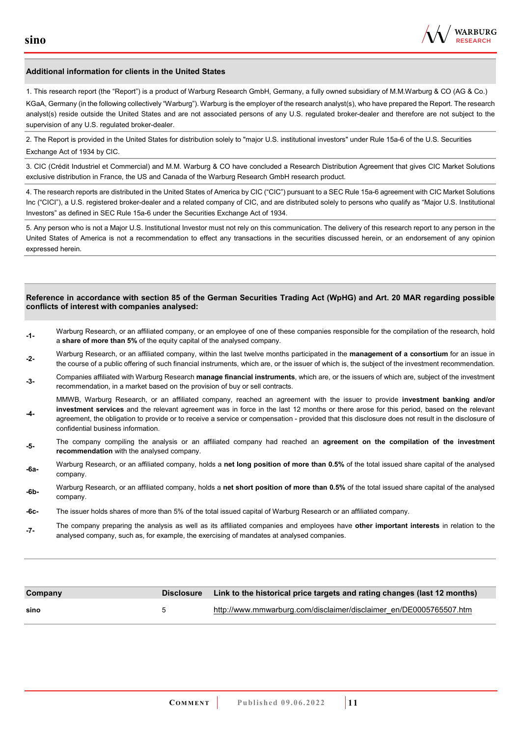

#### **Additional information for clients in the United States**

1. This research report (the "Report") is a product of Warburg Research GmbH, Germany, a fully owned subsidiary of M.M.Warburg & CO (AG & Co.) KGaA, Germany (in the following collectively "Warburg"). Warburg is the employer of the research analyst(s), who have prepared the Report. The research analyst(s) reside outside the United States and are not associated persons of any U.S. regulated broker-dealer and therefore are not subject to the supervision of any U.S. regulated broker-dealer.

2. The Report is provided in the United States for distribution solely to "major U.S. institutional investors" under Rule 15a-6 of the U.S. Securities Exchange Act of 1934 by CIC.

3. CIC (Crédit Industriel et Commercial) and M.M. Warburg & CO have concluded a Research Distribution Agreement that gives CIC Market Solutions exclusive distribution in France, the US and Canada of the Warburg Research GmbH research product.

4. The research reports are distributed in the United States of America by CIC ("CIC") pursuant to a SEC Rule 15a-6 agreement with CIC Market Solutions Inc ("CICI"), a U.S. registered broker-dealer and a related company of CIC, and are distributed solely to persons who qualify as "Major U.S. Institutional Investors" as defined in SEC Rule 15a-6 under the Securities Exchange Act of 1934.

5. Any person who is not a Major U.S. Institutional Investor must not rely on this communication. The delivery of this research report to any person in the United States of America is not a recommendation to effect any transactions in the securities discussed herein, or an endorsement of any opinion expressed herein.

#### **Reference in accordance with section 85 of the German Securities Trading Act (WpHG) and Art. 20 MAR regarding possible conflicts of interest with companies analysed:**

- **-1-** Warburg Research, or an affiliated company, or an employee of one of these companies responsible for the compilation of the research, hold a **share of more than 5%** of the equity capital of the analysed company.
- **-2-** Warburg Research, or an affiliated company, within the last twelve months participated in the **management of a consortium** for an issue in the course of a public offering of such financial instruments, which are, or the issuer of which is, the subject of the investment recommendation.
- **-3-** Companies affiliated with Warburg Research **manage financial instruments**, which are, or the issuers of which are, subject of the investment recommendation, in a market based on the provision of buy or sell contracts.

MMWB, Warburg Research, or an affiliated company, reached an agreement with the issuer to provide **investment banking and/or investment services** and the relevant agreement was in force in the last 12 months or there arose for this period, based on the relevant

- **-4**  agreement, the obligation to provide or to receive a service or compensation - provided that this disclosure does not result in the disclosure of confidential business information.
- **-5-** The company compiling the analysis or an affiliated company had reached an **agreement on the compilation of the investment recommendation** with the analysed company.
- **-6a-** Warburg Research, or an affiliated company, holds a **net long position of more than 0.5%** of the total issued share capital of the analysed company.
- **-6b-** Warburg Research, or an affiliated company, holds a **net short position of more than 0.5%** of the total issued share capital of the analysed company.
- **-6c-** The issuer holds shares of more than 5% of the total issued capital of Warburg Research or an affiliated company.
- **-7-** The company preparing the analysis as well as its affiliated companies and employees have **other important interests** in relation to the analysed company, such as, for example, the exercising of mandates at analysed companies.

| Company |              | Disclosure Link to the historical price targets and rating changes (last 12 months) |  |
|---------|--------------|-------------------------------------------------------------------------------------|--|
| sino    | $\mathbf{h}$ | http://www.mmwarburg.com/disclaimer/disclaimer_en/DE0005765507.htm                  |  |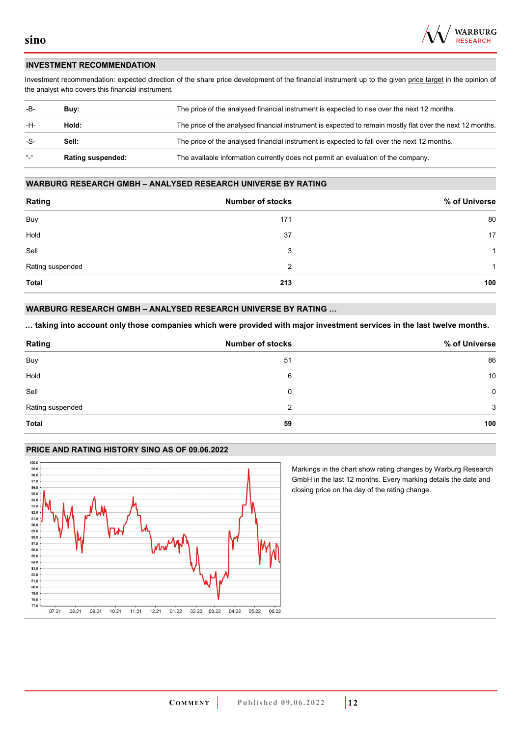

### **INVESTMENT RECOMMENDATION**

Investment recommendation: expected direction of the share price development of the financial instrument up to the given price target in the opinion of the analyst who covers this financial instrument.

| -B-                                 | Buv:                     | The price of the analysed financial instrument is expected to rise over the next 12 months.               |  |
|-------------------------------------|--------------------------|-----------------------------------------------------------------------------------------------------------|--|
| -H-                                 | Hold:                    | The price of the analysed financial instrument is expected to remain mostly flat over the next 12 months. |  |
| -S-                                 | Sell:                    | The price of the analysed financial instrument is expected to fall over the next 12 months.               |  |
| $^{\prime\prime}$ $^{\prime\prime}$ | <b>Rating suspended:</b> | The available information currently does not permit an evaluation of the company.                         |  |

#### **WARBURG RESEARCH GMBH – ANALYSED RESEARCH UNIVERSE BY RATING**

| Rating           | <b>Number of stocks</b> | % of Universe |
|------------------|-------------------------|---------------|
| Buy              | 171                     | 80            |
| Hold             | 37                      | 17            |
| Sell             | 3                       | 1             |
| Rating suspended | 2                       | 1             |
| Total            | 213                     | 100           |

#### **WARBURG RESEARCH GMBH – ANALYSED RESEARCH UNIVERSE BY RATING …**

**… taking into account only those companies which were provided with major investment services in the last twelve months.** 

| Rating           | <b>Number of stocks</b> | % of Universe |
|------------------|-------------------------|---------------|
| Buy              | 51                      | 86            |
| Hold             | 6                       | 10            |
| Sell             | 0                       | 0             |
| Rating suspended | 2                       | 3             |
| <b>Total</b>     | 59                      | 100           |

### **PRICE AND RATING HISTORY SINO AS OF 09.06.2022**



Markings in the chart show rating changes by Warburg Research GmbH in the last 12 months. Every marking details the date and closing price on the day of the rating change.